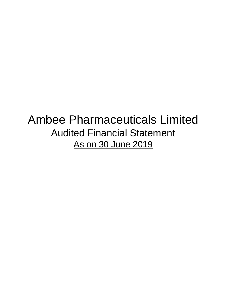# Ambee Pharmaceuticals Limited Audited Financial Statement As on 30 June 2019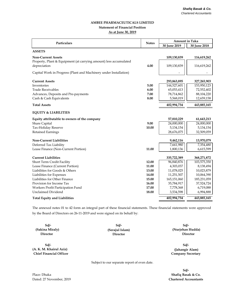# **AMBEE PHARMACEUTICALS LIMITED Statement of Financial Position As at June 30, 2019**

| <b>Particulars</b>                                                | <b>Notes</b> |              | <b>Amount in Taka</b> |  |
|-------------------------------------------------------------------|--------------|--------------|-----------------------|--|
|                                                                   |              | 30 June 2019 | 30 June 2018          |  |
| <b>ASSETS</b>                                                     |              |              |                       |  |
| <b>Non-Current Assets</b>                                         |              | 109,130,839  | 116,619,262           |  |
| Property, Plant & Equipment (at carrying amount) less accumulated |              |              |                       |  |
| depreciation                                                      | 4.00         | 109,130,839  | 116,619,262           |  |
| Capital Work in Progress (Plant and Machinery under Installation) |              |              |                       |  |
| <b>Current Assets</b>                                             |              | 293,863,895  | 327,265,903           |  |
| Inventories                                                       | 5.00         | 144,527,601  | 153,950,123           |  |
| <b>Trade Receivables</b>                                          | 6.00         | 65,053,413   | 72,552,402            |  |
| Advances, Deposits and Pre-payments                               | 7.00         | 78,714,862   | 88,104,220            |  |
| Cash & Cash Equivalents                                           | 8.00         | 5,568,019    | 12,659,158            |  |
| <b>Total Assets</b>                                               |              | 402,994,734  | 443,885,165           |  |
| <b>EQUITY &amp; LIABILITIES</b>                                   |              |              |                       |  |
| Equity attributable to owners of the company                      |              | 57,810,229   | 61,643,213            |  |
| Share Capital                                                     | 9.00         | 24,000,000   | 24,000,000            |  |
| Tax-Holiday Reserve                                               | 10.00        | 5,134,154    | 5,134,154             |  |
| <b>Retained Earnings</b>                                          |              | 28,676,075   | 32,509,059            |  |
|                                                                   |              |              |                       |  |
| <b>Non-Current Liabilities</b>                                    |              | 9,462,116    | 13,970,079            |  |
| Deferred Tax Liability<br>Lease Finance (Non-Current Portion)     | 11.00        | 7,661,980    | 7,354,480             |  |
|                                                                   |              | 1,800,136    | 6,615,599             |  |
| <b>Current Liabilities</b>                                        |              | 335,722,389  | 368,271,872           |  |
| Short Term Credit Facility                                        | 12.00        | 96,840,876   | 103,575,350           |  |
| Lease Finance (Current Portion)                                   | 11.00        | 4,303,037    | 8,138,494             |  |
| Liabilities for Goods & Others                                    | 13.00        | 11,078,025   | 10,023,879            |  |
| Liabilities for Expenses                                          | 14.00        | 11,251,507   | 10,064,390            |  |
| Liabilities for Other Finance                                     | 15.00        | 165,151,060  | 185,231,059           |  |
| Provision for Income Tax                                          | 16.00        | 35,784,917   | 37,524,724            |  |
| Workers Profit Participation Fund                                 | 17.00        | 7,778,368    | 6,719,088             |  |
| <b>Unclaimed Dividend</b>                                         | 18.00        | 3,534,598    | 6,994,888             |  |
| <b>Total Equity and Liabilities</b>                               |              | 402,994,734  | 443,885,165           |  |

The annexed notes 01 to 42 form an integral part of these financial statements. These financial statements were approved by the Board of Directors on 26-11-2019 and were signed on its behalf by:

**Sd/- Sd/- Director Director Director**

**Sd/-**

**(Sakina Miraly) (Serajul Islam) (Nurjehan Hudda) Sd/-**

**(A. K. M. Khairul Aziz) (Jahangir Alam) Chief Financial Officer Company Secretary Sd/-**

Subject to our separate report of even date.

Dated: 27 November, 2019 **Chartered Accountants Sd/-**

Place: Dhaka **Shafiq Basak & Co.**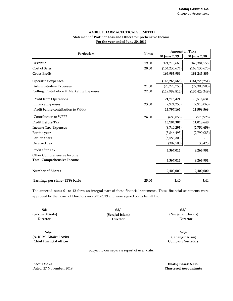# **AMBEE PHARMACEUTICALS LIMITED Statement of Profit or Loss and Other Comprehensive Income For the year ended June 30, 2019**

| Particulars                                |       | <b>Amount in Taka</b> |                 |
|--------------------------------------------|-------|-----------------------|-----------------|
|                                            |       | 30 June 2019          | 30 June 2018    |
| Revenue                                    | 19.00 | 321,219,660           | 349,381,558     |
| Cost of Sales                              | 20.00 | (154, 235, 674)       | (168, 135, 675) |
| <b>Gross Profit</b>                        |       | 166,983,986           | 181,245,883     |
| <b>Operating expenses</b>                  |       | (145, 265, 565)       | (161, 729, 251) |
| Administrative Expenses                    | 21.00 | (25, 275, 753)        | (27,300,903)    |
| Selling, Distribution & Marketing Expenses | 22.00 | (119, 989, 812)       | (134, 428, 349) |
| Profit from Operations                     |       | 21,718,421            | 19,516,631      |
| Finance Expenses                           | 23.00 | (7,921,255)           | (7,918,063)     |
| Profit before contribution to WPPF         |       | 13,797,165            | 11,598,568      |
| Contribution to WPPF                       | 24.00 | (689, 858)            | (579, 928)      |
| <b>Profit Before Tax</b>                   |       | 13,107,307            | 11,018,640      |
| <b>Income Tax Expenses</b>                 |       | (9,740,293)           | (2,754,659)     |
| For the year                               |       | (3,846,493)           | (2,790,083)     |
| <b>Earlier Years</b>                       |       | (5,586,300)           |                 |
| Deferred Tax                               |       | (307, 500)            | 35,423          |
| Profit after Tax                           |       | 3,367,016             | 8,263,981       |
| Other Comprehensive Income                 |       |                       |                 |
| <b>Total Comprehensive Income</b>          |       | 3,367,016             | 8,263,981       |
| <b>Number of Shares</b>                    |       | 2,400,000             | 2,400,000       |
| Earnings per share (EPS) basic             | 25.00 | 1.40                  | 3.44            |

The annexed notes 01 to 42 form an integral part of these financial statements. These financial statements were approved by the Board of Directors on 26-11-2019 and were signed on its behalf by:

**Sd/- Sd/- Director Director Director**

**Sd/- (A. K. M. Khairul Aziz) (Jahangir Alam)**

**(Sakina Miraly) (Serajul Islam) (Nurjehan Hudda) Sd/-**

> **Company Secretary Sd/-**

Subject to our separate report of even date.

Place: Dhaka **Shafiq Basak & Co.** Dated: 27 November, 2019 **Chartered Accountants**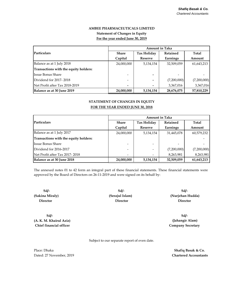# **For the year ended June 30, 2019 Statement of Changes in Equity AMBEE PHARMACEUTICALS LIMITED**

|                                       | <b>Amount in Taka</b> |                          |             |             |  |
|---------------------------------------|-----------------------|--------------------------|-------------|-------------|--|
| Particulars                           | <b>Share</b>          | <b>Tax Holiday</b>       | Retained    | Total       |  |
|                                       | Capital               | <b>Reserve</b>           | Earnings    | Amount      |  |
| Balance as at 1 July 2018             | 24,000,000            | 5,134,154                | 32,509,059  | 61,643,213  |  |
| Transactions with the equity holders: |                       |                          |             |             |  |
| Issue Bonus Share                     | -                     |                          |             |             |  |
| Dividend for 2017-2018                | -                     | $\overline{\phantom{0}}$ | (7,200,000) | (7,200,000) |  |
| Net Profit after Tax 2018-2019        | -                     |                          | 3,367,016   | 3,367,016   |  |
| Balance as at 30 June 2019            | 24,000,000            | 5,134,154                | 28,676,075  | 57,810,229  |  |

# **STATEMENT OF CHANGES IN EQUITY FOR THE YEAR ENDED JUNE 30, 2018**

|                                       | <b>Amount in Taka</b> |                          |             |             |  |
|---------------------------------------|-----------------------|--------------------------|-------------|-------------|--|
| <b>Particulars</b>                    | <b>Share</b>          | <b>Tax Holiday</b>       | Retained    | Total       |  |
|                                       | Capital               | <b>Reserve</b>           | Earnings    | Amount      |  |
| Balance as at 1 July 2017             | 24,000,000            | 5,134,154                | 31,445,078  | 60,579,232  |  |
| Transactions with the equity holders: |                       |                          |             |             |  |
| <b>Issue Bonus Share</b>              |                       |                          |             |             |  |
| Dividend for 2016-2017                |                       | $\overline{\phantom{a}}$ | (7,200,000) | (7,200,000) |  |
| Net Profit after Tax 2017-2018        | -                     |                          | 8,263,981   | 8,263,981   |  |
| Balance as at 30 June 2018            | 24,000,000            | 5,134,154                | 32,509,059  | 61,643,213  |  |

The annexed notes 01 to 42 form an integral part of these financial statements. These financial statements were approved by the Board of Directors on 26-11-2019 and were signed on its behalf by:

**Sd/- Sd/- (Sakina Miraly) (Serajul Islam) Director Director** 

**Sd/- (A. K. M. Khairul Aziz) Chief financial officer**

**Sd/- (Nurjehan Hudda) Director**

**Sd/- (Jahangir Alam) Company Secretary**

Subject to our separate report of even date.

Place: Dhaka Dated: 27 November, 2019 **Chartered Accountants Shafiq Basak & Co.**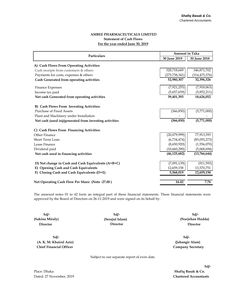# **AMBEE PHARMACEUTICALS LIMITED Statement of Cash Flows For the year ended June 30, 2019**

|                                                        | <b>Amount in Taka</b> |                 |
|--------------------------------------------------------|-----------------------|-----------------|
| Particulars                                            | 30 June 2019          | 30 June 2018    |
| A) Cash Flows From Operating Activities:               |                       |                 |
| Cash receipts from customers & others                  | 328,718,649           | 346,871,702     |
| Payments for costs, expenses & others                  | (275, 738, 341)       | (314, 475, 376) |
| Cash Generated from operating activities               | 52,980,307            | 32,396,326      |
| Finance Expenses                                       | (7,921,255)           | (7,918,063)     |
| Income tax paid                                        | (5,657,659)           | (5,852,211)     |
| Net cash Generated from operating activities           | 39,401,393            | 18,626,052      |
| B) Cash Flows From Investing Activities:               |                       |                 |
| <b>Purchase of Fixed Assets</b>                        | (366, 850)            | (5,771,000)     |
| Plant and Machinery under Installation                 |                       |                 |
| Net cash (used in)/generated from investing activities | (366, 850)            | (5,771,000)     |
| C) Cash Flows From Financing Activities:               |                       |                 |
| Other Finance                                          | (20,079,999)          | 77,913,393      |
| Short Term Loan                                        | (6,734,474)           | (85,055,273)    |
| Lease Finance                                          | (8,650,920)           | (1,556,070)     |
| Dividend paid                                          | (10,660,290)          | (5,068,694)     |
| Net cash used in financing activities                  | (46, 125, 682)        | (13,766,644)    |
| D) Net change in Cash and Cash Equivalents (A+B+C)     | (7,091,139)           | (911, 593)      |
| E) Opening Cash and Cash Equivalents                   | 12,659,158            | 13,570,751      |
| F) Closing Cash and Cash Equivalents (D+E)             | 5,568,019             | 12,659,158      |
|                                                        |                       |                 |
| Net Operating Cash Flow Per Share (Note -27.00)        | 16.42                 | 7.76            |

The annexed notes 01 to 42 form an integral part of these financial statements. These financial statements were approved by the Board of Directors on 26-11-2019 and were signed on its behalf by:

**Sd/- Sd/- Director Director**

**Sd/- (A. K. M. Khairul Aziz) (Jahangir Alam) Chief Financial Officer Company Secretary**

**(Serajul Islam) Director** 

**(Sakina Miraly) (Nurjehan Hudda) Sd/-**

**Sd/-**

Subject to our separate report of even date.

**Sd/-**

Place: Dhaka **Shafiq Basak & Co.** Dated: 27 November, 2019 **Chartered Accountants**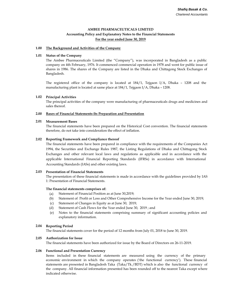# **AMBEE PHARMACEUTICALS LIMITED**

# **Accounting Policy and Explanatory Notes to the Financial Statements For the year ended June 30, 2019**

# **1.00 The Background and Activities of the Company**

# **1.01 Status of the Company**

The Ambee Pharmaceuticals Limited (the "Company"), was incorporated in Bangladesh as a public company on 4th February, 1976. It commenced commercial operation in 1978 and went for public issue of shares in 1986. The shares of the Company are listed in the Dhaka and Chittagong Stock Exchanges of Bangladesh.

The registered office of the company is located at 184/1, Tejgaon I/A, Dhaka – 1208 and the manufacturing plant is located at same place at 184/1, Tejgaon I/A, Dhaka – 1208.

# **1.02 Principal Activities**

The principal activities of the company were manufacturing of pharmaceuticals drugs and medicines and sales thereof.

### **2.00 Bases of Financial Statements-Its Preparation and Presentation**

# **2.01 Measurement Bases**

The financial statements have been prepared on the Historical Cost convention. The financial statements therefore, do not take into consideration the effect of inflation.

# **2.02 Reporting Framework and Compliance thereof**

The financial statements have been prepared in compliance with the requirements of the Companies Act 1994, the Securities and Exchange Rules 1987, the Listing Regulations of Dhaka and Chittagong Stock Exchanges and other relevant local laws and regulations as applicable and in accordance with the applicable International Financial Reporting Standards (IFRSs) in accordance with International Accounting Standards (IASs) and other existing laws.

# **2.03 Presentation of Financial Statements**

The presentation of these financial statements is made in accordance with the guidelines provided by IAS 1: Presentation of Financial Statements.

# **The financial statements comprises of:**

- (a) Statement of Financial Position as at June 30,2019;
- (b) Statement of Profit or Loss and Other Comprehensive Income for the Year ended June 30, 2019;
- (c) Statement of Changes in Equity as at June 30, 2019;
- (d) Statement of Cash Flows for the Year ended June 30, 2019 ; and
- (e) Notes to the financial statements comprising summary of significant accounting policies and explanatory information.

#### **2.04 Reporting Period**

The financial statements cover for the period of 12 months from July 01, 2018 to June 30, 2019.

#### **2.05 Authorization for Issue**

The financial statements have been authorized for issue by the Board of Directors on 26-11-2019.

# **2.06 Functional and Presentation Currency**

Items included in these financial statements are measured using the currency of the primary economic environment in which the company operates ('the functional currency'). These financial statements are presented in Bangladesh Taka (Taka/Tk./BDT) which is also the functional currency of the company. All financial information presented has been rounded off to the nearest Taka except where indicated otherwise.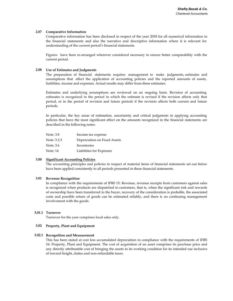# **2.07 Comparative Information**

Comparative information has been disclosed in respect of the year 2018 for all numerical information in the financial statements and also the narrative and descriptive information where it is relevant for understanding of the current period's financial statements.

Figures have been re-arranged wherever considered necessary to ensure better comparability with the current period.

# **2.08 Use of Estimates and Judgments**

The preparation of financial statements requires management to make judgments, estimates and assumptions that affect the application of accounting policies and the reported amounts of assets, liabilities, income and expenses. Actual results may differ from these estimates.

Estimates and underlying assumptions are reviewed on an ongoing basis. Revision of accounting estimates is recognized in the period in which the estimate is revised if the revision affects only that period, or in the period of revision and future periods if the revision affects both current and future periods.

In particular, the key areas of estimation, uncertainty and critical judgments in applying accounting policies that have the most significant effect on the amounts recognized in the financial statements are described in the following notes:

| Note: 3.8   | Income tax expense           |
|-------------|------------------------------|
| Note: 3.2.3 | Depreciation on Fixed Assets |
| Note: 3.6   | Inventories                  |
| Note: 14    | Liabilities for Expenses     |

#### **3.00 Significant Accounting Policies**

The accounting principles and policies in respect of material items of financial statements set out below have been applied consistently to all periods presented in these financial statements.

# **3.01 Revenue Recognition**

In compliance with the requirements of IFRS 15: Revenue, revenue receipts from customers against sales is recognized when products are dispatched to customers, that is, when the significant risk and rewards of ownership have been transferred to the buyer, recovery of the consideration is probable, the associated costs and possible return of goods can be estimated reliably, and there is no continuing management involvement with the goods.

# **3.01.1 Turnover**

Turnover for the year comprises local sales only.

# **3.02 Property, Plant and Equipment**

# **3.02.1 Recognition and Measurement**

This has been stated at cost less accumulated depreciation in compliance with the requirements of IFRS 16: Property, Plant and Equipment. The cost of acquisition of an asset comprises its purchase price and any directly attributable cost of bringing the assets to its working condition for its intended use inclusive of inward freight, duties and non-refundable taxes.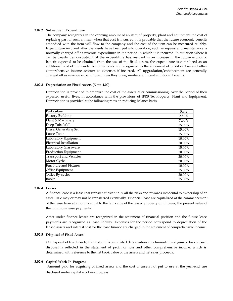# **3.02.2 Subsequent Expenditure**

The company recognizes in the carrying amount of an item of property, plant and equipment the cost of replacing part of such an item when that cost is incurred, it is probable that the future economic benefits embodied with the item will flow to the company and the cost of the item can be measured reliably. Expenditure incurred after the assets have been put into operation, such as repairs and maintenance is normally charged off as revenue expenditure in the period in which it is incurred. In situation where it can be clearly demonstrated that the expenditure has resulted in an increase in the future economic benefit expected to be obtained from the use of the fixed assets, the expenditure is capitalized as an additional cost of the assets. All other costs are recognized to the statement of profit or loss and other comprehensive income account as expenses if incurred. All upgradation/enhancement are generally charged off as revenue expenditure unless they bring similar significant additional benefits.

# **3.02.3 Depreciation on Fixed Assets (Note-4.00)**

Depreciation is provided to amortize the cost of the assets after commissioning, over the period of their expected useful lives, in accordance with the provisions of IFRS 16: Property, Plant and Equipment. Depreciation is provided at the following rates on reducing balance basis:

| <b>Particulars</b>             | Rate   |
|--------------------------------|--------|
| <b>Factory Building</b>        | 2.50%  |
| Plant & Machinery              | 7.00%  |
| Deep Tube Well                 | 15.00% |
| Diesel Generating Set          | 15.00% |
| Loose Tools                    | 15.00% |
| Laboratory Equipment           | 10.00% |
| <b>Electrical Installation</b> | 10.00% |
| Laboratory Glassware           | 15.00% |
| <b>Production Equipment</b>    | 10.00% |
| <b>Transport and Vehicles</b>  | 20.00% |
| Motor Cycle                    | 20.00% |
| <b>Furniture and Fixtures</b>  | 10.00% |
| Office Equipment               | 15.00% |
| Office By-cycles               | 20.00% |
| <b>Books</b>                   | 15.00% |

# **3.02.4 Leases**

A finance lease is a lease that transfer substantially all the risks and rewards incidental to ownership of an asset. Title may or may not be transferred eventually. Financial lease are capitalized at the commencement of the lease term at amounts equal to the fair value of the leased property or, if lower, the present value of the minimum lease payments.

Asset under finance leases are recognized in the statement of financial position and the future lease payments are recognized as lease liability. Expenses for the period correspond to depreciation of the leased assets and interest cost for the lease finance are charged in the statement of comprehensive income.

# **3.02.5 Disposal of Fixed Assets**

On disposal of fixed assets, the cost and accumulated depreciation are eliminated and gain or loss on such disposal is reflected in the statement of profit or loss and other comprehensive income, which is determined with reference to the net book value of the assets and net sales proceeds.

# **3.02.6 Capital Work-In-Progress**

Amount paid for acquiring of fixed assets and the cost of assets not put to use at the year-end are disclosed under capital work-in-progress.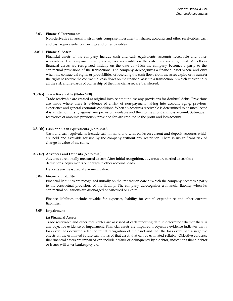### **3.03 Financial Instruments**

Non-derivative financial instruments comprise investment in shares, accounts and other receivables, cash and cash equivalents, borrowings and other payables.

### **3.03.1 Financial Assets**

Financial assets of the company include cash and cash equivalents, accounts receivable and other receivables. The company initially recognizes receivable on the date they are originated. All others financial assets are recognized initially on the date at which the company becomes a party to the contractual provisions of the transactions. The company derecognizes a financial asset when, and only when the contractual rights or probabilities of receiving the cash flows from the asset expire or it transfer the rights to receive the contractual cash flows on the financial asset in a transaction in which substantially all the risk and rewards of ownership of the financial asset are transferred.

# **3.3.1(a) Trade Receivable (Note- 6.00)**

Trade receivable are created at original invoice amount less any provisions for doubtful debts. Provisions are made where there is evidence of a risk of non-payment, taking into account aging, previous experience and general economic conditions. When an accounts receivable is determined to be uncollected it is written off, firstly against any provision available and then to the profit and loss account. Subsequent recoveries of amounts previously provided for, are credited to the profit and loss account.

# **3.3.1(b) Cash and Cash Equivalents (Note- 8.00)**

Cash and cash equivalents include cash in hand and with banks on current and deposit accounts which are held and available for use by the company without any restriction. There is insignificant risk of change in value of the same.

# **3.3.1(c) Advances and Deposits (Note- 7.00)**

Advances are initially measured at cost. After initial recognition, advances are carried at cost less deductions, adjustments or charges to other account heads.

Deposits are measured at payment value.

### **3.04 Financial Liability**

Financial liabilities are recognized initially on the transaction date at which the company becomes a party to the contractual provisions of the liability. The company derecognizes a financial liability when its contractual obligations are discharged or cancelled or expire.

Finance liabilities include payable for expenses, liability for capital expenditure and other current liabilities.

### **3.05 Impairment**

### **(a) Financial Assets**

Trade receivable and other receivables are assessed at each reporting date to determine whether there is any objective evidence of impairment. Financial assets are impaired if objective evidence indicates that a loss event has occurred after the initial recognition of the asset and that the loss event had a negative effects on the estimated future cash flows of that asset, that can be estimated reliably. Objective evidence that financial assets are impaired can include default or delinquency by a debtor, indications that a debtor or issuer will enter bankruptcy etc.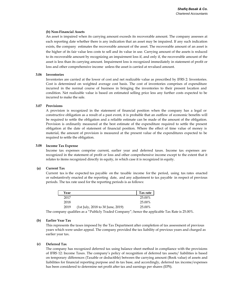# **(b) Non-Financial Assets**

An asset is impaired when its carrying amount exceeds its recoverable amount. The company assesses at each reporting date whether there is any indication that an asset may be impaired. If any such indication exists, the company estimates the recoverable amount of the asset. The recoverable amount of an asset is the higher of its fair value less costs to sell and its value in use. Carrying amount of the assets is reduced to its recoverable amount by recognizing an impairment loss if, and only if, the recoverable amount of the asset is less than its carrying amount. Impairment loss is recognized immediately in statement of profit or loss and other comprehensive income unless the asset is carried at revalued amount.

# **3.06 Inventories**

Inventories are carried at the lower of cost and net realizable value as prescribed by IFRS 2: Inventories. Cost is determined on weighted average cost basis. The cost of inventories comprises of expenditure incurred in the normal course of business in bringing the inventories to their present location and condition. Net realizable value is based on estimated selling price less any further costs expected to be incurred to make the sale.

# **3.07 Provisions**

A provision is recognized in the statement of financial position when the company has a legal or constructive obligation as a result of a past event, it is probable that an outflow of economic benefits will be required to settle the obligation and a reliable estimate can be made of the amount of the obligation. Provision is ordinarily measured at the best estimate of the expenditure required to settle the present obligation at the date of statement of financial position. Where the effect of time value of money is material, the amount of provision is measured at the present value of the expenditures expected to be required to settle the obligation.

# **3.08 Income Tax Expense**

Income tax expenses comprise current, earlier year and deferred taxes. Income tax expenses are recognized in the statement of profit or loss and other comprehensive income except to the extent that it relates to items recognized directly in equity, in which case it is recognized in equity.

#### **(a) Current Tax**

Current tax is the expected tax payable on the taxable income for the period, using tax rates enacted or substantively enacted at the reporting date, and any adjustment to tax payable in respect of previous periods. The tax rate used for the reporting periods is as follows:

| Year |                                   | Tax rate |
|------|-----------------------------------|----------|
| 2017 |                                   | 25.00%   |
| 2018 |                                   | 25.00%   |
| 2019 | (1st July, 2018 to 30 June, 2019) | 25.00%   |

The company qualifies as a "Publicly Traded Company"; hence the applicable Tax Rate is 25.00%.

# **(b) Earlier Year Tax**

This represents the taxes imposed by the Tax Department after completion of tax assessment of previous years which were under appeal. The company provided the tax liability of previous years and charged as earlier year tax.

#### **(c) Deferred Tax**

The company has recognized deferred tax using balance sheet method in compliance with the provisions of IFRS 12: Income Taxes. The company's policy of recognition of deferred tax assets/ liabilities is based on temporary differences (Taxable or deductible) between the carrying amount (Book value) of assets and liabilities for financial reporting purpose and its tax base, and accordingly, deferred tax income/expenses has been considered to determine net profit after tax and earnings per shares (EPS).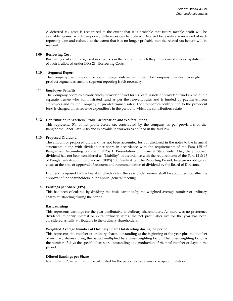A deferred tax asset is recognized to the extent that it is probable that future taxable profit will be available, against which temporary differences can be utilized. Deferred tax assets are reviewed at each reporting date and reduced to the extent that it is no longer probable that the related tax benefit will be realized.

#### **3.09 Borrowing Cost**

Borrowing costs are recognized as expenses in the period in which they are incurred unless capitalization of such is allowed under IFRS 23 : Borrowing Costs.

#### **3.10 Segment Report**

The Company has no reportable operating segments as per IFRS-8. The Company operates in a single product segment as such no segment reporting is felt necessary.

# **3.11 Employee Benefits**

The Company operates a contributory provident fund for its Staff. Assets of provident fund are held in a separate trustee who administrated fund as per the relevant rules and is funded by payments from employees and by the Company at pre-determined rates. The Company's contribution to the provident fund is charged off as revenue expenditure in the period to which the contributions relate.

# **3.12 Contribution to Workers' Profit Participation and Welfare Funds**

This represents 5% of net profit before tax contributed by the company as per provisions of the Bangladesh Labor Law, 2006 and is payable to workers as defined in the said law.

# **3.13 Proposed Dividend**

The amount of proposed dividend has not been accounted for but disclosed in the notes to the financial statements along with dividend per share in accordance with the requirements of the Para 125 of Bangladesh Accounting Standard (IFRS) 1: Presentation of Financial Statements. Also, the proposed dividend has not been considered as "Liability" in accordance with the requirements of the Para 12 & 13 of Bangladesh Accounting Standard (IFRS) 10: Events After The Reporting Period, because no obligation exists at the time of approval of accounts and recommendation of dividend by the Board of Directors.

Dividend proposed by the board of directors for the year under review shall be accounted for after the approval of the shareholders in the annual general meeting.

# **3.14 Earnings per Share (EPS)**

This has been calculated by dividing the basic earnings by the weighted average number of ordinary shares outstanding during the period.

# **Basic earnings**

This represents earnings for the year attributable to ordinary shareholders. As there was no preference dividend, minority interest or extra ordinary items, the net profit after tax for the year has been considered as fully attributable to the ordinary shareholders.

# **Weighted Average Number of Ordinary Share Outstanding during the period**

This represents the number of ordinary shares outstanding at the beginning of the year plus the number of ordinary shares during the period multiplied by a time-weighting factor. The time-weighting factor is the number of days the specific shares are outstanding as a production of the total number of days in the period.

# **Diluted Earnings per Share**

No diluted EPS is required to be calculated for the period as there was no scope for dilution.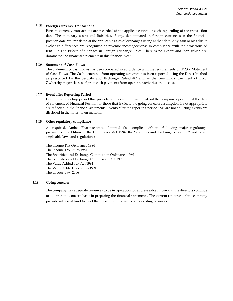# **3.15 Foreign Currency Transactions**

Foreign currency transactions are recorded at the applicable rates of exchange ruling at the transaction date. The monetary assets and liabilities, if any, denominated in foreign currencies at the financial position date are translated at the applicable rates of exchanges ruling at that date. Any gain or loss due to exchange differences are recognized as revenue income/expense in compliance with the provisions of IFRS 21: The Effects of Changes in Foreign Exchange Rates. There is no export and loan which are dominated the financial statements in this financial year.

# **3.16 Statement of Cash Flows**

The Statement of cash Flows has been prepared in accordance with the requirements of IFRS 7: Statement of Cash Flows. The Cash generated from operating activities has been reported using the Direct Method as prescribed by the Security and Exchange Rules,1987 and as the benchmark treatment of IFRS 7,whereby major classes of gross cash payments from operating activities are disclosed.

# **3.17 Event after Reporting Period**

Event after reporting period that provide additional information about the company's position at the date of statement of Financial Position or those that indicate the going concern assumption is not appropriate are reflected in the financial statements. Events after the reporting period that are not adjusting events are disclosed in the notes when material.

# **3.18 Other regulatory compliance**

As required, Ambee Pharmaceuticals Limited also complies with the following major regulatory provisions in addition to the Companies Act 1994, the Securities and Exchange rules 1987 and other applicable laws and regulations:

The Income Tax Ordinance 1984 The Income Tax Rules 1984 The Securities and Exchange Commission Ordinance 1969 The Securities and Exchange Commission Act 1993 The Value Added Tax Act 1991 The Value Added Tax Rules 1991 The Labour Law 2006

#### **3.19 Going concern**

The company has adequate resources to be in operation for a foreseeable future and the directors continue to adopt going concern basis in preparing the financial statements. The current resources of the company provide sufficient fund to meet the present requirements of its existing business.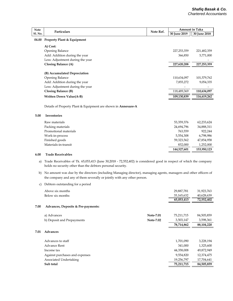| <b>Note</b> | Particulars                                                          | Note Ref. | <b>Amount in Taka</b> |              |
|-------------|----------------------------------------------------------------------|-----------|-----------------------|--------------|
| Sl. No.     |                                                                      |           | 30 June 2019          | 30 June 2018 |
| 04.00       | <b>Property Plant &amp; Equipment</b>                                |           |                       |              |
|             | A) Cost:                                                             |           |                       |              |
|             | <b>Opening Balance</b>                                               |           | 227,253,359           | 221,482,359  |
|             | Add: Addition during the year                                        |           | 366,850               | 5,771,000    |
|             | Less: Adjustment during the year                                     |           |                       |              |
|             | Closing Balance (A)                                                  |           | 227,620,208           | 227,253,359  |
|             | (B) Accumulated Depreciation                                         |           |                       |              |
|             | Opening Balance                                                      |           | 110,634,097           | 101,579,762  |
|             | Add: Addition during the year                                        |           | 7,855,272             | 9,054,335    |
|             | Less: Adjustment during the year                                     |           |                       |              |
|             | Closing Balance (B)                                                  |           | 118,489,369           | 110,634,097  |
|             | <b>Written Down Value(A-B)</b>                                       |           | 109,130,839           | 116,619,262  |
|             | Details of Property Plant & Equipment are shown in <b>Annexure-A</b> |           |                       |              |
| 5.00        | <b>Inventories</b>                                                   |           |                       |              |
|             | Raw materials                                                        |           | 53,359,376            | 62,233,624   |
|             | Packing materials                                                    |           | 24,694,796            | 34,888,311   |
|             |                                                                      |           |                       |              |

| Packing materials     | 24,694,796  | 34,888,311  |
|-----------------------|-------------|-------------|
| Promotional materials | 763,559     | 922,244     |
| Work-in-process       | 5,554,308   | 6,798,986   |
| Finished goods        | 59,323,562  | 47,854,958  |
| Materials-in-transit  | 832,000     | 1,252,000   |
|                       | 144,527,601 | 153,950,123 |

#### **6.00 Trade Receivables**

 a) Trade Receivables of Tk. 65,053,413 (June 30,2018 - 72,552,402) is considered good in respect of which the company holds no security other than the debtors personal security.

- b) No amount was due by the directors (including Managing director), managing agents, managers and other officers of the company and any of them severally or jointly with any other person.
- c) Debtors outstanding for a period

|      | Above six months                   |           | 29,887,781 | 31,923,763 |
|------|------------------------------------|-----------|------------|------------|
|      | Below six months                   |           | 35,165,632 | 40,628,639 |
|      |                                    |           | 65,053,413 | 72,552,402 |
| 7.00 | Advances, Deposits & Pre-payments: |           |            |            |
|      | a) Advances                        | Note-7.01 | 75,211,715 | 84,505,859 |
|      | b) Deposit and Prepayments         | Note-7.02 | 3,503,147  | 3,598,361  |
|      |                                    |           | 78,714,862 | 88,104,220 |
| 7.01 | Advances                           |           |            |            |
|      | Advances to staff                  |           | 1,701,090  | 3,228,194  |
|      | Advance Rent                       |           | 341,000    | 1,325,600  |
|      | Income tax                         |           | 44,358,008 | 49,872,949 |
|      | Against purchases and expenses     |           | 9,554,820  | 12,374,475 |
|      | Associated Undertaking             |           | 19,256,797 | 17,704,641 |
|      | Sub total                          |           | 75,211,715 | 84,505,859 |
|      |                                    |           |            |            |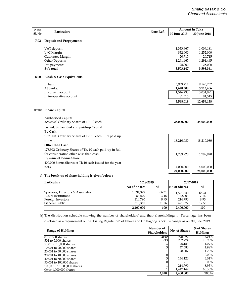| 30 June 2019<br>30 June 2018<br>7.02<br><b>Deposit and Prepayments</b><br>1,333,967<br>VAT deposit<br>1,009,181<br>L/C Margin<br>832,000<br>1,252,000<br>Guarantee Margin<br>20,715<br>20,715<br>Other Deposits<br>1,291,465<br>1,291,465<br>Pre-payments<br>25,000<br>25,000<br>Sub total<br>3,503,147<br>3,598,361<br>8.00<br>Cash & Cash Equivalents<br>In hand<br>3,939,711<br>9,545,752<br>At banks:<br>1,628,308<br>3,113,406<br>1,546,793<br>3,031,891<br>In current account<br>81,515<br>In in-operative account<br>81,515<br>5,568,019<br>12,659,158<br>09.00<br><b>Share Capital</b><br><b>Authorised Capital</b><br>2,500,000 Ordinary Shares of Tk. 10 each<br>25,000,000<br>25,000,000<br>Issued, Subscribed and paid-up Capital<br><b>By Cash</b><br>1,821,008 Ordinary Shares of Tk. 10 each fully paid up<br>in cash.<br>18,210,080<br>18,210,080<br>Other than Cash<br>178,992 Ordinary Shares of Tk. 10 each paid-up in full<br>for consideration other-wise than cash.<br>1,789,920<br>1,789,920<br>By issue of Bonus Share<br>400,000 Bonus Shares of Tk.10 each Issued for the year<br>2013<br>4,000,000<br>4,000,000<br>24,000,000<br>24,000,000 | <b>Note</b>    | Particulars | Note Ref. | <b>Amount in Taka</b> |  |
|------------------------------------------------------------------------------------------------------------------------------------------------------------------------------------------------------------------------------------------------------------------------------------------------------------------------------------------------------------------------------------------------------------------------------------------------------------------------------------------------------------------------------------------------------------------------------------------------------------------------------------------------------------------------------------------------------------------------------------------------------------------------------------------------------------------------------------------------------------------------------------------------------------------------------------------------------------------------------------------------------------------------------------------------------------------------------------------------------------------------------------------------------------------------|----------------|-------------|-----------|-----------------------|--|
|                                                                                                                                                                                                                                                                                                                                                                                                                                                                                                                                                                                                                                                                                                                                                                                                                                                                                                                                                                                                                                                                                                                                                                        | <b>Sl. No.</b> |             |           |                       |  |
|                                                                                                                                                                                                                                                                                                                                                                                                                                                                                                                                                                                                                                                                                                                                                                                                                                                                                                                                                                                                                                                                                                                                                                        |                |             |           |                       |  |
|                                                                                                                                                                                                                                                                                                                                                                                                                                                                                                                                                                                                                                                                                                                                                                                                                                                                                                                                                                                                                                                                                                                                                                        |                |             |           |                       |  |
|                                                                                                                                                                                                                                                                                                                                                                                                                                                                                                                                                                                                                                                                                                                                                                                                                                                                                                                                                                                                                                                                                                                                                                        |                |             |           |                       |  |
|                                                                                                                                                                                                                                                                                                                                                                                                                                                                                                                                                                                                                                                                                                                                                                                                                                                                                                                                                                                                                                                                                                                                                                        |                |             |           |                       |  |
|                                                                                                                                                                                                                                                                                                                                                                                                                                                                                                                                                                                                                                                                                                                                                                                                                                                                                                                                                                                                                                                                                                                                                                        |                |             |           |                       |  |
|                                                                                                                                                                                                                                                                                                                                                                                                                                                                                                                                                                                                                                                                                                                                                                                                                                                                                                                                                                                                                                                                                                                                                                        |                |             |           |                       |  |
|                                                                                                                                                                                                                                                                                                                                                                                                                                                                                                                                                                                                                                                                                                                                                                                                                                                                                                                                                                                                                                                                                                                                                                        |                |             |           |                       |  |
|                                                                                                                                                                                                                                                                                                                                                                                                                                                                                                                                                                                                                                                                                                                                                                                                                                                                                                                                                                                                                                                                                                                                                                        |                |             |           |                       |  |
|                                                                                                                                                                                                                                                                                                                                                                                                                                                                                                                                                                                                                                                                                                                                                                                                                                                                                                                                                                                                                                                                                                                                                                        |                |             |           |                       |  |
|                                                                                                                                                                                                                                                                                                                                                                                                                                                                                                                                                                                                                                                                                                                                                                                                                                                                                                                                                                                                                                                                                                                                                                        |                |             |           |                       |  |
|                                                                                                                                                                                                                                                                                                                                                                                                                                                                                                                                                                                                                                                                                                                                                                                                                                                                                                                                                                                                                                                                                                                                                                        |                |             |           |                       |  |
|                                                                                                                                                                                                                                                                                                                                                                                                                                                                                                                                                                                                                                                                                                                                                                                                                                                                                                                                                                                                                                                                                                                                                                        |                |             |           |                       |  |
|                                                                                                                                                                                                                                                                                                                                                                                                                                                                                                                                                                                                                                                                                                                                                                                                                                                                                                                                                                                                                                                                                                                                                                        |                |             |           |                       |  |
|                                                                                                                                                                                                                                                                                                                                                                                                                                                                                                                                                                                                                                                                                                                                                                                                                                                                                                                                                                                                                                                                                                                                                                        |                |             |           |                       |  |
|                                                                                                                                                                                                                                                                                                                                                                                                                                                                                                                                                                                                                                                                                                                                                                                                                                                                                                                                                                                                                                                                                                                                                                        |                |             |           |                       |  |
|                                                                                                                                                                                                                                                                                                                                                                                                                                                                                                                                                                                                                                                                                                                                                                                                                                                                                                                                                                                                                                                                                                                                                                        |                |             |           |                       |  |
|                                                                                                                                                                                                                                                                                                                                                                                                                                                                                                                                                                                                                                                                                                                                                                                                                                                                                                                                                                                                                                                                                                                                                                        |                |             |           |                       |  |
|                                                                                                                                                                                                                                                                                                                                                                                                                                                                                                                                                                                                                                                                                                                                                                                                                                                                                                                                                                                                                                                                                                                                                                        |                |             |           |                       |  |
|                                                                                                                                                                                                                                                                                                                                                                                                                                                                                                                                                                                                                                                                                                                                                                                                                                                                                                                                                                                                                                                                                                                                                                        |                |             |           |                       |  |
|                                                                                                                                                                                                                                                                                                                                                                                                                                                                                                                                                                                                                                                                                                                                                                                                                                                                                                                                                                                                                                                                                                                                                                        |                |             |           |                       |  |
|                                                                                                                                                                                                                                                                                                                                                                                                                                                                                                                                                                                                                                                                                                                                                                                                                                                                                                                                                                                                                                                                                                                                                                        |                |             |           |                       |  |
|                                                                                                                                                                                                                                                                                                                                                                                                                                                                                                                                                                                                                                                                                                                                                                                                                                                                                                                                                                                                                                                                                                                                                                        |                |             |           |                       |  |
|                                                                                                                                                                                                                                                                                                                                                                                                                                                                                                                                                                                                                                                                                                                                                                                                                                                                                                                                                                                                                                                                                                                                                                        |                |             |           |                       |  |
|                                                                                                                                                                                                                                                                                                                                                                                                                                                                                                                                                                                                                                                                                                                                                                                                                                                                                                                                                                                                                                                                                                                                                                        |                |             |           |                       |  |
|                                                                                                                                                                                                                                                                                                                                                                                                                                                                                                                                                                                                                                                                                                                                                                                                                                                                                                                                                                                                                                                                                                                                                                        |                |             |           |                       |  |
|                                                                                                                                                                                                                                                                                                                                                                                                                                                                                                                                                                                                                                                                                                                                                                                                                                                                                                                                                                                                                                                                                                                                                                        |                |             |           |                       |  |
|                                                                                                                                                                                                                                                                                                                                                                                                                                                                                                                                                                                                                                                                                                                                                                                                                                                                                                                                                                                                                                                                                                                                                                        |                |             |           |                       |  |

### **a) The break-up of share-holding is given below :**

| Particulars                                                                                              |                                           | 2018-2019                      |                                            | 2017-2018                      |  |
|----------------------------------------------------------------------------------------------------------|-------------------------------------------|--------------------------------|--------------------------------------------|--------------------------------|--|
|                                                                                                          | No of Shares                              | $\frac{0}{0}$                  | No of Shares                               | $\frac{0}{0}$                  |  |
| Sponsors, Directors & Associates<br><b>ICB &amp; Institutions</b><br>Foreign Investors<br>General Public | 1,591,329<br>83,520<br>214,790<br>510.361 | 66.31<br>3.48<br>8.95<br>21.26 | 1,591,330<br>172,003<br>214,790<br>421.877 | 66.31<br>7.16<br>8.95<br>17.58 |  |
|                                                                                                          | 2,400,000                                 | 100                            | 2,400,000                                  | 100                            |  |

**b)** The distribution schedule showing the number of shareholders' and their shareholdings in Percentage has been

disclosed as a requirement of the "Listing Regulation" of Dhaka and Chittagong Stock Exchanges as on 30 June, 2019.

| <b>Range of Holdings</b>    | Number of<br><b>Shareholders</b> | No. of Shares | $\%$ of Shares<br>Holdings |
|-----------------------------|----------------------------------|---------------|----------------------------|
| $01$ to 500 shares          | 2645                             | 228,627       | $9.53\%$                   |
| 1501 to 5.000 shares        | 213                              | 262,774       | 10.95%                     |
| 5,001 to 10,000 shares      | 3                                | 26,153        | 1.09%                      |
| 10,001 to 20,000 shares     | 3                                | 47,580        | 1.98%                      |
| 20,001 to 30,000 shares     |                                  | 28.807        | 1.20%                      |
| 130,001 to 40,000 shares    | $\overline{0}$                   |               | $0.00\%$                   |
| 40,001 to 50,000 shares     | 3                                | 144,120       | 6.01%                      |
| 50,001 to 100,000 shares    | 0                                |               | $0.00\%$                   |
| 100,001 to 1,000,000 shares |                                  | 214,790       | 8.95%                      |
| Over 1,000,000 shares       |                                  | 1.447.149     | 60.30%                     |
|                             | 2,870                            | 2,400,000     | 100.%                      |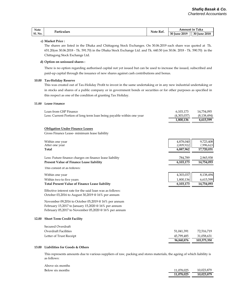| Note           | Particulars | Note Ref. | Taka<br>Amount in           |                     |
|----------------|-------------|-----------|-----------------------------|---------------------|
| <b>Sl. No.</b> |             |           | <b>Iune 2019</b><br>$30I_1$ | <b>30 June 2018</b> |

### **c) Market Price :**

The shares are listed in the Dhaka and Chittagong Stock Exchanges. On 30.06.2019 each share was quoted at Tk. 651.20(on 30.06.2018 - Tk. 591.70) in the Dhaka Stock Exchange Ltd. and Tk. 640.50 (on 30.06. 2018 - Tk. 590.70) in the Chittagong Stock Exchange Ltd.

### **d) Option on unissued shares :**

There is no option regarding authorised capital not yet issued but can be used to increase the issued, subscribed and paid-up capital through the issuance of new shares against cash contributions and bonus.

### **10.00 Tax-Holiday Reserve**

This was created out of Tax-Holiday Profit to invest in the same undertaking or in any new industrial undertaking or in stocks and shares of a public company or in government bonds or securities or for other purposes as specified in this respect as one of the condition of granting Tax Holiday.

### **11.00 Lease Finance**

|       | Loan from GSP Finance                                                 | 6,103,173   | 14,754,093    |
|-------|-----------------------------------------------------------------------|-------------|---------------|
|       | Less: Current Portion of long term loan being payable within one year | (4,303,037) | (8, 138, 494) |
|       |                                                                       | 1,800,136   | 6,615,599     |
|       | <b>Obligation Under Finance Leases</b>                                |             |               |
|       | Gross Finance Lease-minimum lease liability                           |             |               |
|       | Within one year                                                       | 4,878,040   | 9,723,408     |
|       | After one year                                                        | 2,009,922   | 7,996,623     |
|       | <b>Total</b>                                                          | 6,887,962   | 17,720,031    |
|       | Less: Future finance charges on finance lease liability               | 784,789     | 2,965,938     |
|       | Present Value of Finance Lease liability                              | 6,103,173   | 14,754,093    |
|       | This consist of as follows:                                           |             |               |
|       | Within one year                                                       | 4,303,037   | 8,138,494     |
|       | Within two to five years                                              | 1,800,136   | 6,615,599     |
|       | <b>Total Present Value of Finance Lease liability</b>                 | 6,103,173   | 14,754,093    |
|       | Effective interest rate for the said loan was as follows:             |             |               |
|       | October 03,2016 to August 30,2019 @ 16% per annum                     |             |               |
|       | November 09,2016 to October 05,2019 @ 16% per annum                   |             |               |
|       | February 15,2017 to January 15,2020 @ 16% per annum                   |             |               |
|       | February 05,2017 to November 05,2020 @ 16% per annum                  |             |               |
| 12.00 | <b>Short Term Credit Facility</b>                                     |             |               |
|       | Secured Overdraft                                                     |             |               |
|       | <b>Overdraft Facilities</b>                                           | 51,041,391  | 72,516,719    |
|       | Letter of Trust Receipt                                               | 45,799,485  | 31,058,631    |
|       |                                                                       | 96,840,876  | 103,575,350   |
|       |                                                                       |             |               |

# **13.00 Liabilities for Goods & Others**

This represents amounts due to various suppliers of raw, packing and stores materials, the ageing of which liability is as follows:

|                  | 11 078 025 | 10 023 879 |
|------------------|------------|------------|
| Below six months | 11.078.025 | 10.023.879 |
| Above six months |            |            |

| 11,078,025 | 10,023,879 |
|------------|------------|
| 11,078,025 | 10,023,879 |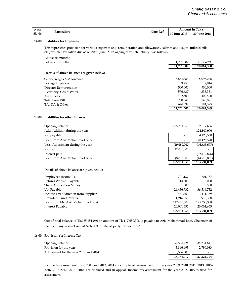| Note           |                  | Note Ref. | <b>TTL 1</b><br>Taka<br>Amount<br>: in |                     |
|----------------|------------------|-----------|----------------------------------------|---------------------|
| <b>Sl. No.</b> | Particulars<br>. |           | June 2019<br>30I                       | 2018<br>30I<br>lune |

### **14.00 Liabilities for Expenses**

This represents provision for various expenses (e.g. remuneration and allowances, salaries and wages, utilities bills etc.) which have fallen due as on 30th June, 2019, ageing of which liability is as follows

| Above six months                          |            |            |
|-------------------------------------------|------------|------------|
| Below six months                          | 11,251,507 | 10,064,390 |
|                                           | 11.251.507 | 10,064,390 |
| Details of above balance are given below: |            |            |
| Salary, wages & Allowance                 | 8,864,384  | 8,096,278  |
| Postage Expenses                          | 3,250      | 2,044      |
| Director Remuneration                     | 500,000    | 500,000    |
| Electricity, Gas & Water                  | 576,637    | 335,351    |
| <b>Audit Fees</b>                         | 402,500    | 402,500    |
| Telephone Bill                            | 280,341    | 143,821    |
| TA/DA & Other                             | 624,394    | 584,395    |
|                                           | 11,251,506 | 10,064,389 |
|                                           |            |            |

### **15.00 Liabilities for other Finance**

| <b>Opening Balance</b>           | 185,231,059              | 107,317,666    |
|----------------------------------|--------------------------|----------------|
| Add. Addition during the year    |                          | 124,547,070    |
| Vat payable                      | -                        | 4,420,550      |
| Loan from Aziz Mohammad Bhai     | $\overline{\phantom{a}}$ | 120,126,520    |
| Less: Adjustment during the year | (20,080,000)             | (46, 633, 677) |
| Vat Paid                         | (12,080,000)             |                |
| Interest paid                    |                          | (32, 419, 876) |
| Loan from Aziz Mohammad Bhai     | (8,000,000)              | (14,213,801)   |
|                                  | 165,151,059              | 185,231,059    |

### Details of above balance are given below:

| Employees Income Tax               | 701,137     | 701,137     |
|------------------------------------|-------------|-------------|
| Refund Warrant Payable             | 13,000      | 13,000      |
| Share Application Money            | 500         | 500         |
| Vat Payable                        | 24,436,732  | 36,516,732  |
| Income Tax deduction from Supplier | 431.369     | 431,369     |
| Provident Fund Payable             | 1,916,358   | 1,916,358   |
| Loan from Mr. Aziz Mohammad Bhai   | 117,650,308 | 125,650,308 |
| Interest Payable                   | 20,001,655  | 20,001,655  |
|                                    | 165,151,060 | 185,231,059 |

Out of total balance of Tk.165,151,060 an amount of Tk 117,650,308 is payable to Aziz Mohammad Bhai, Chairman of the Company as disclosed at Note # 35 "Related party transactions"

### **16.00 Provision for Income Tax**

| Opening Balance                       | 37,524,724  | 34,734,641 |
|---------------------------------------|-------------|------------|
| Provision for the year                | 3.846.493   | 2.790.083  |
| Adjustment for the year 2012 and 2014 | (5,586,300) | -          |
|                                       | 35,784,917  | 37.524.724 |

Income tax assessment up to 2008 and 2012, 2014 are completed. Assessment for the years 2009, 2010, 2011, 2013, 2015- 2016, 2016-2017, 2017 -2018 are finalized and in appeal. Income tax assessment for the year 2018-2019 is filed for assessment.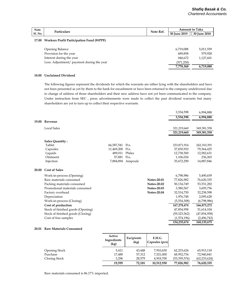| <b>Note</b>    | Note Ref.<br>Particulars                       | Amount in Taka |                     |              |
|----------------|------------------------------------------------|----------------|---------------------|--------------|
| <b>Sl. No.</b> |                                                |                | <b>30 June 2019</b> | 30 June 2018 |
|                | 17.00 Workers Profit Participation Fund (WPPF) |                |                     |              |

| Opening Balance                           | 6.719.088  | 5,011,559 |
|-------------------------------------------|------------|-----------|
| Provision for the year                    | 689.858    | 579,928   |
| Interest during the year                  | 940.672    | 1,127,601 |
| Less: Adjustment/ payment during the year | (571, 250) | -         |
|                                           | 7,778,368  | 6,719,088 |

# **18.00 Unclaimed Dividend**

The following figures represent the dividends for which the warrants are either lying with the shareholders and have not been presented as yet by them to the bank for encashment or have been returned to the company undelivered due to change of address of those shareholders and their new address have not yet been communicated to the company. Under instruction from SEC , press advertisements were made to collect the past dividend warrants but many shareholders are yet to turn up to collect their respective warrants.

|              |                                   |                 |                   |                    | 3,534,598    | 6,994,888      |
|--------------|-----------------------------------|-----------------|-------------------|--------------------|--------------|----------------|
|              |                                   |                 |                   |                    | 3,534,598    | 6,994,888      |
| 19.00        | Revenue                           |                 |                   |                    |              |                |
|              | <b>Local Sales</b>                |                 |                   |                    | 321,219,660  | 349,381,558    |
|              |                                   |                 |                   |                    | 321,219,660  | 349,381,558    |
|              | <b>Sales Quantity:</b>            |                 |                   |                    |              |                |
|              | Tablet                            | 66,587,541 Pcs. |                   |                    | 233,871,914  | 242,310,391    |
|              | Capsules                          | 11,469,200      | Pcs.              |                    | 37,830,932   | 79,364,425     |
|              | Liquids                           | 489,011         | Philes            |                    | 12,738,500   | 12,582,631     |
|              | Ointment                          | 57.881 Pcs.     |                   |                    | 1,106,024    | 236,265        |
|              | Injection                         |                 | 7,884,894 Ampoule |                    | 35,672,290   | 14,887,846     |
| <b>20.00</b> | <b>Cost of Sales</b>              |                 |                   |                    |              |                |
|              | Work-in-process (Opening)         |                 |                   |                    | 6,798,986    | 5,490,659      |
|              | Raw materials consumed            |                 |                   | <b>Notes-20.01</b> | 77,826,982   | 76,620,335     |
|              | Packing materials consumed        |                 |                   | <b>Notes-20.02</b> | 50,134,749   | 53,531,282     |
|              | Promotional materials consumed    |                 |                   | <b>Notes-20.03</b> | 3,580,567    | 3,695,756      |
|              | Factory overhead                  |                 |                   | <b>Notes-20.04</b> | 32,514,750   | 32,238,598     |
|              | Depreciation                      |                 |                   |                    | 1,976,748    | 2,095,628      |
|              | Work-in-process (Closing)         |                 |                   |                    | (5,554,308)  | (6,798,986)    |
|              | Cost of production                |                 |                   |                    | 167,278,474  | 166,873,272    |
|              | Stock of finished goods (Opening) |                 |                   |                    | 47,854,958   | 51,614,104     |
|              | Stock of finished goods (Closing) |                 |                   |                    | (59,323,562) | (47, 854, 958) |
|              | Cost of free samples              |                 |                   |                    | (1,574,196)  | (2,496,743)    |
|              |                                   |                 |                   |                    | 154,235,674  | 168,135,675    |

# **20.01 Raw Materials Consumed**

|                      | Active<br>Ingredients<br>(kg) | Excipients<br>(kg) | E.H.G.<br>Capsules (pcs) |              |                |
|----------------------|-------------------------------|--------------------|--------------------------|--------------|----------------|
| <b>Opening Stock</b> | 5,411                         | 43,448             | 7,910,630                | 62,233,624   | 65,913,118     |
| Purchase             | 17,480                        | 57,312             | 7,521,000                | 68,952,734   | 72,940,841     |
| Closing Stock        | 3.296                         | 28,579             | 4,918,700                | (53,359,376) | (62, 233, 624) |
|                      | 19,595                        | 72,181             | 10,512,930               | 77,826,982   | 76,620,335     |

Raw materials consumed is 86.17% imported.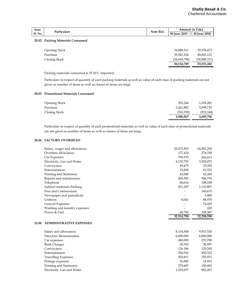| <b>Note</b><br><b>Sl. No.</b> | Particulars | Note Ref. | Taka<br>Amount in ' |                   |
|-------------------------------|-------------|-----------|---------------------|-------------------|
|                               |             |           | 30 June 2019        | 30 June<br>: 2018 |
|                               |             |           |                     |                   |

# **20.02 Packing Materials Consumed**

|                      | 50,134,749   | 53,531,282   |
|----------------------|--------------|--------------|
| Closing Stock        | (24,694,796) | (34,888,311) |
| Purchase             | 39,941,234   | 49,041,121   |
| <b>Opening Stock</b> | 34,888,311   | 39,378,472   |
|                      |              |              |

Packing materials consumed is 35.16% imported.

Particulars in respect of quantity of each packing materials as well as value of each class of packing materials are not given as number of items as well as classes of items are large.

### **20.03 Promotional Materials Consumed**

| Opening Stock | 922,244    | 1,018,281  |
|---------------|------------|------------|
| Purchase      | 3,421,882  | 3,599,719  |
| Closing Stock | (763, 559) | (922, 244) |
|               | 3,580,567  | 3,695,756  |

Particulars in respect of quantity of each promotional materials as well as value of each class of promotional materials are not given as number of items as well as classes of items are large.

# **20.04 FACTORY OVERHEAD**

| Salary, wages and allowances | 25,672,965 | 24,903,230 |
|------------------------------|------------|------------|
| Overtime allowances          | 177,430    | 274,700    |
| Car Expenses                 | 760,155    | 266,613    |
| Electricity, Gas and Water   | 4,135,753  | 3,929,072  |
| Conveyance                   | 49,475     | 29,392     |
| Entertainment                | 33,838     | 81,923     |
| Printing and Stationery      | 43,040     | 43,260     |
| Repairs and maintenance      | 665,502    | 946,791    |
| Telephone                    | 68,614     | 108,558    |
| Indirect materials-Packing   | 831,187    | 1,110,807  |
| Fees and Commissions         |            | 140,675    |
| Newspaper and periodicals    | -          | 3,400      |
| Uniform                      | 8,041      | 88,935     |
| General Expenses             |            | 72,435     |
| Washing and laundry expenses |            | 420        |
| Power & Fuel                 | 68,750     | 238,387    |
|                              | 32,514,750 | 32,238,598 |

# **21.00 ADMINISTRATIVE EXPENSES**

| Salary and allowances      | 8,134,858 | 9,053,520 |
|----------------------------|-----------|-----------|
| Directors' Remuneration    | 6,000,000 | 6,000,000 |
| Car expenses               | 480,000   | 270,780   |
| <b>Bank Charges</b>        | 30,703    | 38,957    |
| Conveyance                 | 126,186   | 129,500   |
| Entertainment              | 354,516   | 450,322   |
| <b>Travelling Expenses</b> | 503,811   | 705,972   |
| Postage expenses           | 16,840    | 18,931    |
| Printing and Stationery    | 279,687   | 190,065   |
| Electricity, Gas and Water | 1,033,037 | 982,267   |
|                            |           |           |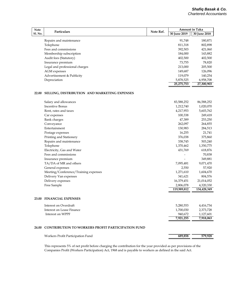| <b>Note</b>    | <b>Particulars</b>             | Note Ref. |              | <b>Amount in Taka</b> |
|----------------|--------------------------------|-----------|--------------|-----------------------|
| <b>Sl. No.</b> |                                |           | 30 June 2019 | 30 June 2018          |
|                | Repairs and maintenance        |           | 91.748       | 180,871               |
|                | Telephone                      |           | 811,318      | 802,898               |
|                | Fees and commissions           |           | 392,503      | 421,060               |
|                | Membership subscription        |           | 184,000      | 143,882               |
|                | Audit fees (Statutory)         |           | 402,500      | 402,500               |
|                | Insurance premium              |           | 73.755       | 78,820                |
|                | Legal and professional charges |           | 213,000      | 205,500               |
|                | AGM expenses                   |           | 149,687      | 126,096               |
|                | Advertisement & Publicity      |           | 119,079      | 140,254               |
|                | Depreciation                   |           | 5,878,525    | 6,958,708             |
|                |                                |           | 25.275.753   | 27.300.903            |

### **22.00 SELLING, DISTRIBUTION AND MARKETING EXPENSES**

| Salary and allowances                | 83,588,252  | 86,588,252  |
|--------------------------------------|-------------|-------------|
| <b>Incentive Bonus</b>               | 1,212,740   | 1,020,070   |
| Rent, rates and taxes                | 4,217,953   | 5,603,762   |
| Car expenses                         | 100,338     | 249,418     |
| <b>Bank charges</b>                  | 47,389      | 253,250     |
| Conveyance                           | 262,097     | 264,855     |
| Entertainment                        | 130,983     | 284,513     |
| Postage expenses                     | 16,255      | 21,741      |
| Printing and Stationery              | 376,038     | 375,860     |
| Repairs and maintenance              | 338,745     | 503,240     |
| Telephone                            | 1,370,462   | 1,350,775   |
| Electricity, Gas and Water           | 431,769     | 618,876     |
| Fees and commissions                 |             | 70,838      |
| Insurance premium                    |             | 349,881     |
| TA/DA of MR and others               | 7,095,481   | 9,071,470   |
| General expenses                     | 2,550       | 57,920      |
| Meeting/Conference/Training expenses | 1,271,610   | 1,604,670   |
| Delivery Van expenses                | 341,621     | 804,576     |
| Delivery expenses                    | 16,379,451  | 21,014,052  |
| Free Sample                          | 2,806,078   | 4,320,330   |
|                                      | 119,989,812 | 134,428,349 |

# **23.00 FINANCIAL EXPENSES**

| Interest on Overdraft     | 5.280.553 | 4,416,734 |
|---------------------------|-----------|-----------|
| Interest on Lease Finance | 1,700,030 | 2.373.728 |
| Interest on WPPF          | 940.672   | 1.127.601 |
|                           | 7.921.255 | 7.918.063 |

# **24.00 CONTRIBUTION TO WORKERS PROFIT PARTICIPATION FUND**

| Workers Profit Participation Fund | 689.858 | 579.928 |
|-----------------------------------|---------|---------|
|                                   |         |         |

This represents 5% of net profit before charging the contribution for the year provided as per provisions of the Companies Profit (Workers Participation) Act, 1968 and is payable to workers as defined in the said Act.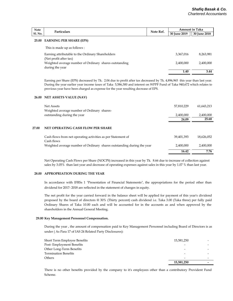| <b>Note</b>    | <b>Particulars</b>            | Note Ref. | <b>Amount in Taka</b> |              |  |
|----------------|-------------------------------|-----------|-----------------------|--------------|--|
| <b>Sl. No.</b> |                               |           | 30 June 2019          | 30 June 2018 |  |
|                | 25.00 EARNING PER SHARE (EPS) |           |                       |              |  |
|                | This is made un as follows :  |           |                       |              |  |

|                                                        | 1.40      | 3.44      |
|--------------------------------------------------------|-----------|-----------|
| during the year                                        |           |           |
| Weighted average number of Ordinary shares outstanding | 2,400,000 | 2,400,000 |
| (Net profit after tax)                                 |           |           |
| Earning attributable to the Ordinary Shareholders      | 3.367.016 | 8.263.981 |
| THIS IS HIGHE UP AS IOHOWS.                            |           |           |

Earning per Share (EPS) decreased by Tk. 2.04 due to profit after tax decreased by Tk. 4,896,965 this year than last year. During the year earlier year income taxes of Taka 5,586,300 and interest on WPPF Fund of Taka 940,672 which relates to previous year have been charged as expense for the year resulting decrease of EPS.

### **26.00 NET ASSETS VALUE (NAV)**

|       | Net Assets<br>Weighted average number of Ordinary shares-                  | 57,810,229 | 61,643,213 |
|-------|----------------------------------------------------------------------------|------------|------------|
|       | outstanding during the year                                                | 2,400,000  | 2,400,000  |
|       |                                                                            | 24.09      | 25.68      |
| 27.00 | NET OPERATING CASH FLOW PER SHARE                                          |            |            |
|       | Cash flows from net operating activities as per Statement of<br>Cash flows | 39,401,393 | 18,626,052 |
|       | Weighted average number of Ordinary shares outstanding during the year     | 2.400.000  | 2.400.000  |
|       |                                                                            | 16.42      | 7.76       |

Net Operating Cash Flows per Share (NOCPS) increased in this year by Tk. 8.66 due to increase of collection against sales by 3.05% than last year and decrease of operating expenses against sales in this year by 1.07 % than last year.

### **28.00 APPROPRIATION DURING THE YEAR**

In accordance with IFRSs 1 "Presentation of Financial Statements", the appropriations for the period other than dividend for 2017- 2018 are reflected in the statement of changes in equity.

The net profit for the year carried forward in the balance sheet will be applied for payment of this year's dividend proposed by the board of directors @ 30% (Thirty percent) cash dividend i.e. Taka 3.00 (Taka three) per fully paid Ordinary Shares of Taka 10.00 each and will be accounted for in the accounts as and when approved by the shareholders in the Annual General Meeting.

### **29.00 Key Management Personnel Compensation.**

During the year , the amount of compensation paid to Key Management Personnel including Board of Directors is as under ( As Para 17 of IAS 24 Related Party Disclosures):

| Short Term Employee Benefits | 15,581,250 |  |
|------------------------------|------------|--|
| Post-Employment Benefits     |            |  |
| Other Long-Term Benefits     | -          |  |
| Termination Benefits         | -          |  |
| Others                       | -          |  |
|                              | 15,581,250 |  |

There is no other benefits provided by the company to it's employees other than a contributory Provident Fund Scheme.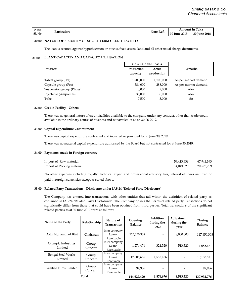| Note           | Particulars | Note Ref. | Taka<br>Amount in |                                    |  |
|----------------|-------------|-----------|-------------------|------------------------------------|--|
| <b>Sl. No.</b> |             |           | 2019<br>30 June   | <b>Iune 2018</b><br><b>30 June</b> |  |

### **30.00 NATURE OF SECURITY OF SHORT TERM CREDIT FACILITY**

The loan is secured against hypothecation on stocks, fixed assets, land and all other usual charge documents.

### **31.00 PLANT CAPACITY AND CAPACITY UTILISATION**

|                           |            | On single shift basis |                      |  |
|---------------------------|------------|-----------------------|----------------------|--|
| Products                  | Production | Actual                | <b>Remarks</b>       |  |
|                           | capacity   | production            |                      |  |
| Tablet group (Pcs)        | 1,200,000  | 1,100,000             | As per market demand |  |
| Capsule group (Pcs)       | 384,000    | 288,000               | As per market demand |  |
| Suspension group (Philes) | 8.000      | 7,000                 | -do-                 |  |
| Injectable (Ampoules)     | 35,000     | 30,000                | -do-                 |  |
| Tube                      | 7,500      | 5,000                 | -do-                 |  |

### **32.00 Credit Facility - Others**

There was no general nature of credit facilities available to the company under any contract, other than trade credit available in the ordinary course of business and not availed of as on 30-06-2019.

### **33.00 Capital Expenditure Commitment**

There was capital expenditure contracted and incurred or provided for at June 30, 2019.

There was no material capital expenditure authorised by the Board but not contracted for at June 30,2019.

### **34.00 Payments made in Foreign currency**

| Import of Raw material     | 59.413.636 | 67.944.393 |
|----------------------------|------------|------------|
| Import of Packing material | 14,043,629 | 20,523,709 |

No other expenses including royalty, technical expert and professional advisory fees, interest etc. was incurred or paid in foreign currencies except as stated above.

### **35.00 Related Party Transactions - Disclosure under IAS 24 "Related Party Disclosure"**

The Company has entered into transactions with other entities that fall within the definition of related party as contained in IAS-24 "Related Party Disclosures". The Company opines that terms of related party transactions do not significantly differ from those that could have been obtained from third parties. Total transactions of the significant related parties as at 30 June 2019 were as follows:

| Name of the Party                    | Relationship     | Nature of<br><b>Transaction</b>                   | Opening<br><b>Balance</b> | Addition<br>during the<br>year | Adjustment<br>during the<br>year | Closing<br><b>Balance</b> |
|--------------------------------------|------------------|---------------------------------------------------|---------------------------|--------------------------------|----------------------------------|---------------------------|
| Aziz Mohammad Bhai                   | Chairman         | Inter company<br>L <sub>o</sub> an/<br>Receivable | 125,650,308               |                                | 8,000,000                        | 117,650,308               |
| Olympic Industries<br>Limited        | Group<br>Concern | Inter company<br>L <sub>o</sub> an/<br>Receivable | 1,274,471                 | 324,520                        | 513,320                          | 1,085,671                 |
| <b>Bengal Steel Works</b><br>Limited | Group<br>Concern | Inter company<br>Loan/<br>Receivable              | 17,606,655                | 1,552,156                      |                                  | 19,158,811                |
| Ambee Films Limited                  | Group<br>Concern | Inter company<br>L <sub>o</sub> an/<br>Receivable | 97.986                    |                                |                                  | 97.986                    |
| Total                                | 144,629,420      | 1,876,676                                         | 8,513,320                 | 137,992,776                    |                                  |                           |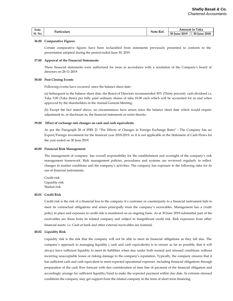| <b>Note</b>    | Particulars | Note Ref. | ` Taka<br>Amount in |              |  |
|----------------|-------------|-----------|---------------------|--------------|--|
| <b>Sl. No.</b> |             |           | <b>30 June 2019</b> | 30 June 2018 |  |

### **36.00 Comparative Figures**

Certain comparative figures have been reclassified from statements previously presented to conform to the presentation adopted during the period ended June 30, 2019.

### **37.00 Approval of the Financial Statements**

These financial statements were authorized for issue in accordance with a resolution of the Company's board of directors on 26-11-2019.

### **38.00 Post Closing Events**

Following events have occurred since the balance sheet date:

(a) Subsequent to the balance sheet date, the Board of Directors recommended 30% (Thirty percent) cash dividend i.e. Taka 3.00 (Taka three) per fully paid ordinary shares of taka 10.00 each which will be accounted for as and when approved by the shareholders in the Annual General Meeting.

(b) Except the fact stated above, no circumstances have arisen since the balance sheet date which would require adjustment to, or disclosure in, the financial statements or notes thereto.

### **39.00 Effect of exchange rate changes on cash and cash equivalents**

As per the Paragraph 28 of IFRS 21 "The Effects of Changes in Foreign Exchange Rates" - The Company has no Export/Foreign investment for the financial year 2018-2019, so it is not applicable in the Statement of Cash Flows for the year ended on 30 June 2019.

### **40.00 Financial Risk Management**

The management of company has overall responsibility for the establishment and oversight of the company's risk management framework. Risk management policies, procedures and systems are reviewed regularly to reflect changes in market conditions and the company's activities. The company has exposure to the following risks for its use of financial instruments.

Credit risk Liquidity risk Market risk

### **40.01 Credit Risk**

Credit risk is the risk of a financial loss to the company if a customer or counterparty to a financial instrument fails to meet its contractual obligations and arises principally from the company's receivables. Management has a credit policy in place and exposure to credit risk is monitored on an ongoing basis. As at 30 June 2019 substantial part of the receivables are those from its related company and subject to insignificant credit risk. Risk exposures from other financial assets. i.e. Cash at bank and other external receivables are nominal.

### **40.02 Liquidity Risk**

Liquidity risk is the risk that the company will not be able to meet its financial obligations as they fall due. The company's approach to managing liquidity ( cash and cash equivalents) is to ensure as far as possible, that it will always have sufficient liquidity to meet its liabilities when due under both normal and stressed conditions without incurring unacceptable losses or risking damage to the company's reputation. Typically, the company ensures that it has sufficient cash and cash equivalent to meet expected operational expenses including financial obligations through preparation of the cash flow forecast with due consideration of time line of payment of the financial obligation and accordingly arrange for sufficient liquidity/fund to make the expected payment within due date. In extreme stressed conditions the company may get support from the related company in the form of short term financing.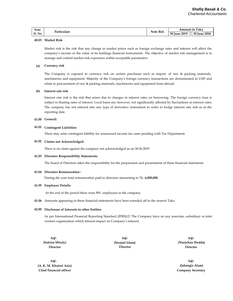| <b>Note</b>    | Particulars | Note Ref. | Taka<br>Amount in |                 |  |
|----------------|-------------|-----------|-------------------|-----------------|--|
| <b>Sl. No.</b> |             |           | 30 June 2019      | 30 June<br>2018 |  |

### **40.03 Market Risk**

Market risk is the risk that any change in market prices such as foreign exchange rates and interest will affect the company's income or the value of its holdings financial instruments. The objective of market risk management is to manage and control market risk exposures within acceptable parameters.

### **(a) Currency risk**

The Company is exposed to currency risk on certain purchases such as import of raw & packing materials, machineries and equipment. Majority of the Company's foreign currency transactions are denominated in USD and relate to procurement of raw & packing materials, machineries and equipment from abroad.

#### **(b) Interest rate risk**

Interest rate risk is the risk that arises due to changes in interest rates on borrowing. The foreign currency loan is subject to floating rates of interest. Local loans are, however, not significantly affected by fluctuations in interest rates. The company has not entered into any type of derivative instrument in order to hedge interest rate risk as at the reporting date.

### **41.00 General:**

### **41.01 Contingent Liabilities**

There may arise contingent liability for unassessed income tax cases pending with Tax Department.

### **41.02 Claims not Acknowledged:**

There is no claim against the company not acknowledged as on 30.06.2019

### **41.03 Directors Responsibility Statements:**

The board of Directors takes the responsibility for the preparation and presentation of these financial statements.

### **41.04 Directors Remuneration :**

During the year total remuneration paid to directors amounting to Tk. **6,000,000.**

### **41.05 Employee Details:**

At the end of the period there were 891 employees in the company.

**41.06** Amounts appearing in these financial statements have been rounded off to the nearest Taka.

### **42.00 Disclosure of Interests in other Entities**

As per International Financial Reporting Standard (IFRS)12: The Company have no any associate, subsidiary or joint venture organization which interest impact on Company's interest.

**Sd/- Director (Sakina Miraly) (Serajul Islam)**

**Director**

 **(Nurjehan Hudda) Sd/- Sd/- Director**

> **(Jahangir Alam) Company Secretary Sd/-**

**(A. K. M. Khairul Aziz) Chief financial officer Sd/-**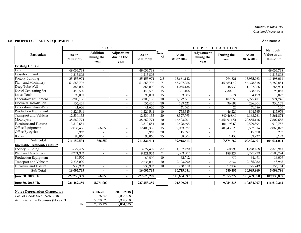# *Shafiq Basak & Co.*

*Chartered Accountants*

# **4.00 PROPERTY, PLANT & EQUIPMENT : Annexure-A**

|                               | CO <sub>S</sub> T   |                                       |                                  |                          |                       | <b>DEPRECIATION</b> |                                  |                          |                     | <b>Net Book</b>           |
|-------------------------------|---------------------|---------------------------------------|----------------------------------|--------------------------|-----------------------|---------------------|----------------------------------|--------------------------|---------------------|---------------------------|
| Particulars                   | As on<br>01.07.2018 | <b>Addition</b><br>during the<br>year | Adjustment<br>during the<br>year | As on<br>30.06.2019      | Rate<br>$\frac{0}{0}$ | As on<br>01.07.2018 | Adjustment<br>during the<br>year | During the<br>year       | As on<br>30.06.2019 | Value as on<br>30.06.2019 |
| <b>Existing Units -1</b>      |                     |                                       |                                  |                          |                       |                     |                                  |                          |                     |                           |
| Land                          | 49,033,738          |                                       |                                  | 49,033,738               |                       |                     |                                  | $\overline{\phantom{a}}$ |                     | 49,033,738                |
| Leasehold Land                | 1,215,803           |                                       | $\overline{\phantom{0}}$         | 1,215,803                |                       |                     |                                  |                          |                     | 1,215,803                 |
| <b>Factory Building</b>       | 25,453,974          |                                       | $\blacksquare$                   | 25,453,974               | 2.5                   | 13,661,142          | $\overline{\phantom{a}}$         | 294,821                  | 13,955,963          | 11,498,011                |
| Plant and Machinery           | 61,668,702          |                                       | $\overline{\phantom{a}}$         | 61,668,702               | $\overline{7}$        | 45,227,966          | $\overline{\phantom{a}}$         | 1,150,851.49             | 46,378,818          | 15,289,884                |
| Deep Tube Well                | 1,368,000           |                                       | $\overline{\phantom{a}}$         | 1,368,000                | 15                    | 1,055,136           | $\overline{\phantom{a}}$         | 46,930                   | 1,102,066           | 265,934                   |
| <b>Diesel Generating Set</b>  | 446,500             |                                       | $\overline{\phantom{a}}$         | 446,500                  | $\overline{15}$       | 331,106             |                                  | 17,309.10                | 348,415             | 98,085                    |
| Loose Tools                   | 98,001              |                                       | $\overline{a}$                   | 98,001                   | $\overline{15}$       | 93,505              |                                  | 674                      | 94,179              | 3,822                     |
| Laboratory Equipment          | 3,200,156           |                                       | $\overline{a}$                   | 3,200,156                | 10                    | 2,172,661           |                                  | 102,750                  | 2,275,411           | 924,746                   |
| Electrical Installation       | 556,455             |                                       | $\overline{a}$                   | 556,455                  | $\overline{10}$       | 189,621             |                                  | 36,683                   | 226,304             | 330,151                   |
| <b>Laboratory Glass Ware</b>  | 41,626              |                                       | $\overline{a}$                   | 41,626                   | 15                    | 41,461              | $\overline{\phantom{a}}$         | $\overline{25}$          | 41,486              | 140                       |
| <b>Production Equipment</b>   | 1,220,541           |                                       | $\overline{\phantom{0}}$         | 1,220,541                | 10                    | 758,345             | $\overline{\phantom{a}}$         | 46,220                   | 804,565             | 415,976                   |
| <b>Transport and Vehicles</b> | 12,530,135          |                                       | $\overline{\phantom{a}}$         | $\overline{12,}$ 530,135 | 20                    | 8,327,793           | $\overline{\phantom{a}}$         | 840,468.40               | 9,168,261           | 3,361,874                 |
| Motorcycle                    | 38,662,774          |                                       | $\overline{\phantom{a}}$         | 38,662,774               | 20                    | 16,403,201          | $\overline{\phantom{a}}$         | 4,451,914.51             | 20,855,116          | 17,807,658                |
| <b>Furniture and Fixtures</b> | 3,510,681           |                                       | $\overline{\phantom{0}}$         | 3,510,681                | $\overline{10}$       | 2.498.695           | $\overline{\phantom{a}}$         | 101,198.60               | 2,599,894           | 910,787                   |
| Office Equipment              | 12,036,486          | 366,850                               | $\overline{\phantom{0}}$         | 12,403,336               | $\overline{15}$       | 9,053,877           |                                  | 483,436.28               | 9,537,314           | 2,866,022                 |
| Office By-cycles              | 15,962              |                                       | $\overline{\phantom{0}}$         | 15,962                   | 20                    | 15,597              | $\overline{\phantom{a}}$         | 73                       | 15,670              | 292                       |
| <b>Books</b>                  | 98,060              |                                       | $\overline{\phantom{0}}$         | 98,060                   | 15                    | 88,504              |                                  | 1,433                    | 89,937              | 8,123                     |
| <b>Sub Total</b>              | 211, 157, 594       | 366,850                               | $\blacksquare$                   | 211,524,444              |                       | 99,918,613          | $\overline{\phantom{a}}$         | 7,574,787                | 107,493,401         | 104,031,044               |
| Injectable (Ampoule) Unit -2  |                     |                                       |                                  |                          |                       |                     |                                  |                          |                     |                           |
| <b>Factory Building</b>       | 3,627,409           |                                       |                                  | 3,627,409                | 2.5                   | 1,187,470           |                                  | 60,998                   | 1,248,468           | 2,378,941                 |
| Plant and Machinery           | 9,221,953           |                                       |                                  | 9,221,953                | 7                     | 6,533,002           | $\overline{\phantom{a}}$         | 188,227                  | 6,721,229           | 2,500,724                 |
| Production Equipment          | 80,500              | $\overline{\phantom{a}}$              | $\overline{\phantom{a}}$         | 80,500                   | 10                    | 62,712              |                                  | 1,779                    | 64,491              | 16,009                    |
| <b>Transport and Vehicles</b> | 2,235,000           |                                       | $\overline{\phantom{0}}$         | 2,235,000                | $\overline{20}$       | 2,173,790           |                                  | 12,242                   | 2,186,032           | 48,968                    |
| <b>Furniture and Fixture</b>  | 930,903             |                                       | $\overline{\phantom{0}}$         | 930,903                  | 10                    | 758,510             | $\blacksquare$                   | 17,239                   | 775,749             | 155,154                   |
| <b>Sub Total</b>              | 16,095,765          |                                       | $\overline{a}$                   | 16,095,765               |                       | 10,715,484          | $\overline{a}$                   | 280,485                  | 10,995,969          | 5,099,796                 |
| June 30, 2019 Tk.             | 227, 253, 359       | 366,850                               | $\overline{\phantom{a}}$         | 227,620,209              |                       | 110,634,097         | $\overline{\phantom{a}}$         | 7,855,272                | 118,489,370         | 109,130,839               |
| June 30, 2018 Tk.             | 221,482,359         | 5,771,000                             | $\sim$                           | 227, 253, 359            |                       | 101,579,761         | $\overline{\phantom{a}}$         | 9,054,335                | 110,634,097         | 116,619,262               |

| Note: Depreciation Charged to: | 30-06-2019               | 30-06-2018                         |
|--------------------------------|--------------------------|------------------------------------|
| Cost of Goods Sold (Note - 20) | 1.976.748                | 2.095.628                          |
| .                              | $F \cap F \cap F \cap F$ | $\sim$ $\sim$ $\sim$ $\sim$ $\sim$ |

1,976,748<br>5,878,525 Administrative Expenses (Note - 21)<br>Tk. 7,855,272 9,054,335 **Tk. 7,855,272 9,054,335**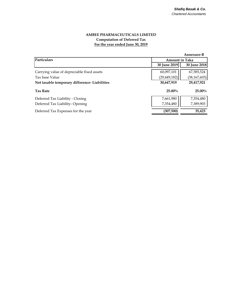# **AMBEE PHARMACEUTICALS LIMITED Computation of Deferred Tax For the year ended June 30, 2019**

|                                               |                       | Annexure-B     |
|-----------------------------------------------|-----------------------|----------------|
| Particulars                                   | <b>Amount in Taka</b> |                |
|                                               | 30 June 2019          | 30 June 2018   |
| Carrying value of depreciable fixed assets    | 60,097,101            | 67,585,524     |
| Tax base Value                                | (29, 449, 182)        | (38, 167, 603) |
| Net taxable temporary difference- Liabilities | 30,647,919            | 29,417,921     |
| <b>Tax Rate</b>                               | $25.00\%$             | $25.00\%$      |
| Deferred Tax Liability - Closing              | 7,661,980             | 7,354,480      |
| Deferred Tax Liability-Opening                | 7,354,480             | 7,389,903      |
| Deferred Tax Expenses for the year            | (307,500)             | 35,423         |